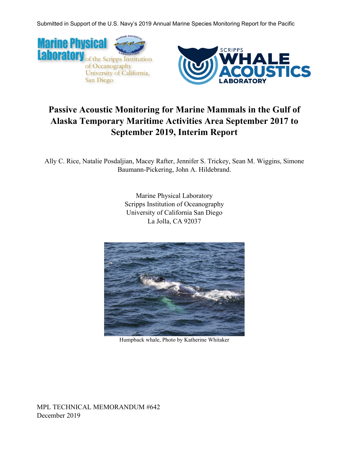



# **Passive Acoustic Monitoring for Marine Mammals in the Gulf of Alaska Temporary Maritime Activities Area September 2017 to September 2019, Interim Report**

Ally C. Rice, Natalie Posdaljian, Macey Rafter, Jennifer S. Trickey, Sean M. Wiggins, Simone Baumann-Pickering, John A. Hildebrand.

> Marine Physical Laboratory Scripps Institution of Oceanography University of California San Diego La Jolla, CA 92037



Humpback whale, Photo by Katherine Whitaker

MPL TECHNICAL MEMORANDUM #642 December 2019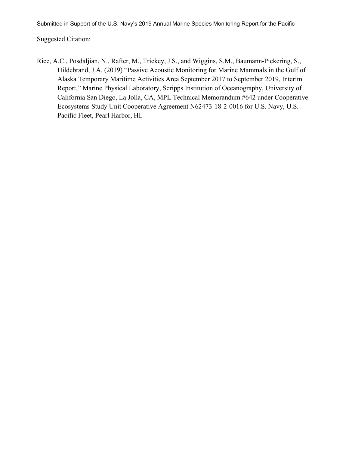Suggested Citation:

Rice, A.C., Posdaljian, N., Rafter, M., Trickey, J.S., and Wiggins, S.M., Baumann-Pickering, S., Hildebrand, J.A. (2019) "Passive Acoustic Monitoring for Marine Mammals in the Gulf of Alaska Temporary Maritime Activities Area September 2017 to September 2019, Interim Report," Marine Physical Laboratory, Scripps Institution of Oceanography, University of California San Diego, La Jolla, CA, MPL Technical Memorandum #642 under Cooperative Ecosystems Study Unit Cooperative Agreement N62473-18-2-0016 for U.S. Navy, U.S. Pacific Fleet, Pearl Harbor, HI.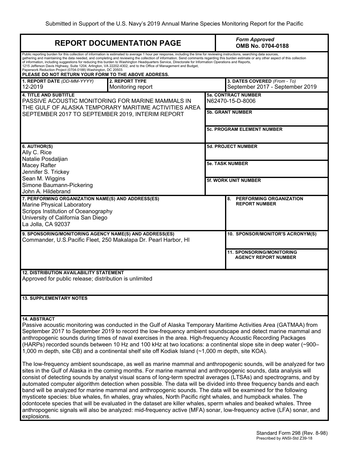| <b>REPORT DOCUMENTATION PAGE</b>                                                                                                                                                                                                                                                                                                                                                                                                                                                                                                                                                                   |                                                                                                                                                                                                                                                                                                                                                                                                                                                                                                                                                                                                                                                           |                                                | <b>Form Approved</b><br>OMB No. 0704-0188                       |  |  |
|----------------------------------------------------------------------------------------------------------------------------------------------------------------------------------------------------------------------------------------------------------------------------------------------------------------------------------------------------------------------------------------------------------------------------------------------------------------------------------------------------------------------------------------------------------------------------------------------------|-----------------------------------------------------------------------------------------------------------------------------------------------------------------------------------------------------------------------------------------------------------------------------------------------------------------------------------------------------------------------------------------------------------------------------------------------------------------------------------------------------------------------------------------------------------------------------------------------------------------------------------------------------------|------------------------------------------------|-----------------------------------------------------------------|--|--|
| Paperwork Reduction Project (0704-0188) Washington, DC 20503.<br>PLEASE DO NOT RETURN YOUR FORM TO THE ABOVE ADDRESS.                                                                                                                                                                                                                                                                                                                                                                                                                                                                              | Public reporting burden for this collection of information is estimated to average 1 hour per response, including the time for reviewing instructions, searching data sources,<br>gathering and maintaining the data needed, and completing and reviewing the collection of information. Send comments regarding this burden estimate or any other aspect of this collection<br>of information, including suggestions for reducing this burden to Washington Headquarters Service, Directorate for Information Operations and Reports,<br>1215 Jefferson Davis Highway, Suite 1204, Arlington, VA 22202-4302, and to the Office of Management and Budget, |                                                |                                                                 |  |  |
| 1. REPORT DATE (DD-MM-YYYY)<br>12-2019                                                                                                                                                                                                                                                                                                                                                                                                                                                                                                                                                             | 2. REPORT TYPE<br>Monitoring report                                                                                                                                                                                                                                                                                                                                                                                                                                                                                                                                                                                                                       |                                                | 3. DATES COVERED (From - To)<br>September 2017 - September 2019 |  |  |
| <b>4. TITLE AND SUBTITLE</b><br>PASSIVE ACOUSTIC MONITORING FOR MARINE MAMMALS IN<br>THE GULF OF ALASKA TEMPORARY MARITIME ACTIVITIES AREA<br>SEPTEMBER 2017 TO SEPTEMBER 2019, INTERIM REPORT                                                                                                                                                                                                                                                                                                                                                                                                     |                                                                                                                                                                                                                                                                                                                                                                                                                                                                                                                                                                                                                                                           | <b>5a. CONTRACT NUMBER</b><br>N62470-15-D-8006 |                                                                 |  |  |
|                                                                                                                                                                                                                                                                                                                                                                                                                                                                                                                                                                                                    |                                                                                                                                                                                                                                                                                                                                                                                                                                                                                                                                                                                                                                                           | <b>5b. GRANT NUMBER</b>                        |                                                                 |  |  |
|                                                                                                                                                                                                                                                                                                                                                                                                                                                                                                                                                                                                    |                                                                                                                                                                                                                                                                                                                                                                                                                                                                                                                                                                                                                                                           |                                                | <b>5c. PROGRAM ELEMENT NUMBER</b>                               |  |  |
| 6. AUTHOR(S)<br>Ally C. Rice                                                                                                                                                                                                                                                                                                                                                                                                                                                                                                                                                                       |                                                                                                                                                                                                                                                                                                                                                                                                                                                                                                                                                                                                                                                           |                                                | <b>5d. PROJECT NUMBER</b>                                       |  |  |
| Natalie Posdaljian<br>Macey Rafter<br>Jennifer S. Trickey                                                                                                                                                                                                                                                                                                                                                                                                                                                                                                                                          |                                                                                                                                                                                                                                                                                                                                                                                                                                                                                                                                                                                                                                                           | <b>5e. TASK NUMBER</b>                         |                                                                 |  |  |
| Sean M. Wiggins<br>Simone Baumann-Pickering<br>John A. Hildebrand                                                                                                                                                                                                                                                                                                                                                                                                                                                                                                                                  |                                                                                                                                                                                                                                                                                                                                                                                                                                                                                                                                                                                                                                                           | <b>5f. WORK UNIT NUMBER</b>                    |                                                                 |  |  |
| 7. PERFORMING ORGANIZATION NAME(S) AND ADDRESS(ES)<br>Marine Physical Laboratory<br>Scripps Institution of Oceanography<br>University of California San Diego<br>La Jolla, CA 92037                                                                                                                                                                                                                                                                                                                                                                                                                |                                                                                                                                                                                                                                                                                                                                                                                                                                                                                                                                                                                                                                                           |                                                | PERFORMING ORGANIZATION<br>8.<br><b>REPORT NUMBER</b>           |  |  |
| 9. SPONSORING/MONITORING AGENCY NAME(S) AND ADDRESS(ES)<br>Commander, U.S.Pacific Fleet, 250 Makalapa Dr. Pearl Harbor, HI                                                                                                                                                                                                                                                                                                                                                                                                                                                                         |                                                                                                                                                                                                                                                                                                                                                                                                                                                                                                                                                                                                                                                           |                                                | 10. SPONSOR/MONITOR'S ACRONYM(S)                                |  |  |
|                                                                                                                                                                                                                                                                                                                                                                                                                                                                                                                                                                                                    |                                                                                                                                                                                                                                                                                                                                                                                                                                                                                                                                                                                                                                                           |                                                | <b>11. SPONSORING/MONITORING</b><br><b>AGENCY REPORT NUMBER</b> |  |  |
| <b>12. DISTRIBUTION AVAILABILITY STATEMENT</b><br>Approved for public release; distribution is unlimited                                                                                                                                                                                                                                                                                                                                                                                                                                                                                           |                                                                                                                                                                                                                                                                                                                                                                                                                                                                                                                                                                                                                                                           |                                                |                                                                 |  |  |
| <b>13. SUPPLEMENTARY NOTES</b>                                                                                                                                                                                                                                                                                                                                                                                                                                                                                                                                                                     |                                                                                                                                                                                                                                                                                                                                                                                                                                                                                                                                                                                                                                                           |                                                |                                                                 |  |  |
| <b>14. ABSTRACT</b><br>Passive acoustic monitoring was conducted in the Gulf of Alaska Temporary Maritime Activities Area (GATMAA) from<br>September 2017 to September 2019 to record the low-frequency ambient soundscape and detect marine mammal and<br>anthropogenic sounds during times of naval exercises in the area. High-frequency Acoustic Recording Packages<br>(HARPs) recorded sounds between 10 Hz and 100 kHz at two locations: a continental slope site in deep water (~900–<br>1,000 m depth, site CB) and a continental shelf site off Kodiak Island (~1,000 m depth, site KOA). |                                                                                                                                                                                                                                                                                                                                                                                                                                                                                                                                                                                                                                                           |                                                |                                                                 |  |  |
| The low-frequency ambient soundscape, as well as marine mammal and anthropogenic sounds, will be analyzed for two<br>sites in the Gulf of Alaska in the coming months. For marine mammal and anthropogenic sounds, data analysis will<br>consist of detecting sounds by analyst visual scans of long-term spectral averages (LTSAs) and spectrograms, and by                                                                                                                                                                                                                                       |                                                                                                                                                                                                                                                                                                                                                                                                                                                                                                                                                                                                                                                           |                                                |                                                                 |  |  |

consist of detecting sounds by analyst visual scans of long-term spectral averages (LTSAs) and spectrograms, and by automated computer algorithm detection when possible. The data will be divided into three frequency bands and each band will be analyzed for marine mammal and anthropogenic sounds. The data will be examined for the following mysticete species: blue whales, fin whales, gray whales, North Pacific right whales, and humpback whales. The odontocete species that will be evaluated in the dataset are killer whales, sperm whales and beaked whales. Three anthropogenic signals will also be analyzed: mid-frequency active (MFA) sonar, low-frequency active (LFA) sonar, and explosions.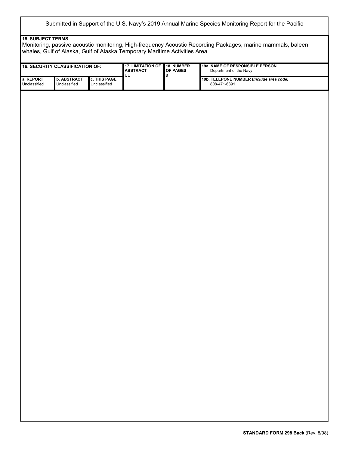#### **15. SUBJECT TERMS**

Monitoring, passive acoustic monitoring, High-frequency Acoustic Recording Packages, marine mammals, baleen whales, Gulf of Alaska, Gulf of Alaska Temporary Maritime Activities Area

|                           | <b>16. SECURITY CLASSIFICATION OF:</b> |                              | <b>17. LIMITATION OF</b><br><b>ABSTRACT</b> | 18. NUMBER<br>OF PAGES<br>8 | 19a. NAME OF RESPONSIBLE PERSON<br>Department of the Navy |  |
|---------------------------|----------------------------------------|------------------------------|---------------------------------------------|-----------------------------|-----------------------------------------------------------|--|
| a. REPORT<br>Unclassified | <b>b. ABSTRACT</b><br>Unclassified     | c. THIS PAGE<br>Unclassified | $\overline{UU}$                             |                             | 19b. TELEPONE NUMBER (Include area code)<br>808-471-6391  |  |
|                           |                                        |                              |                                             |                             |                                                           |  |
|                           |                                        |                              |                                             |                             |                                                           |  |
|                           |                                        |                              |                                             |                             |                                                           |  |
|                           |                                        |                              |                                             |                             |                                                           |  |
|                           |                                        |                              |                                             |                             |                                                           |  |
|                           |                                        |                              |                                             |                             |                                                           |  |
|                           |                                        |                              |                                             |                             |                                                           |  |
|                           |                                        |                              |                                             |                             |                                                           |  |
|                           |                                        |                              |                                             |                             |                                                           |  |
|                           |                                        |                              |                                             |                             |                                                           |  |
|                           |                                        |                              |                                             |                             |                                                           |  |
|                           |                                        |                              |                                             |                             |                                                           |  |
|                           |                                        |                              |                                             |                             |                                                           |  |
|                           |                                        |                              |                                             |                             |                                                           |  |
|                           |                                        |                              |                                             |                             |                                                           |  |
|                           |                                        |                              |                                             |                             |                                                           |  |
|                           |                                        |                              |                                             |                             |                                                           |  |
|                           |                                        |                              |                                             |                             |                                                           |  |
|                           |                                        |                              |                                             |                             |                                                           |  |
|                           |                                        |                              |                                             |                             |                                                           |  |
|                           |                                        |                              |                                             |                             |                                                           |  |
|                           |                                        |                              |                                             |                             |                                                           |  |
|                           |                                        |                              |                                             |                             |                                                           |  |
|                           |                                        |                              |                                             |                             |                                                           |  |
|                           |                                        |                              |                                             |                             |                                                           |  |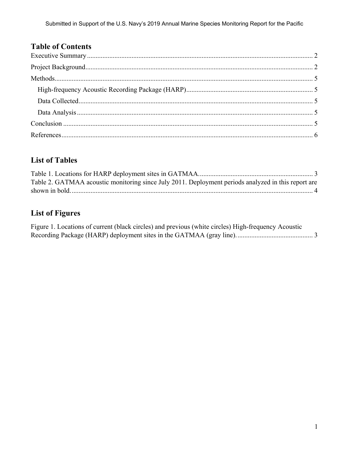# **Table of Contents**

# **List of Tables**

| Table 2. GATMAA acoustic monitoring since July 2011. Deployment periods analyzed in this report are |  |
|-----------------------------------------------------------------------------------------------------|--|
|                                                                                                     |  |

# **List of Figures**

Figure 1. Locations of current (black circles) and previous (white circles) High-frequency Acoustic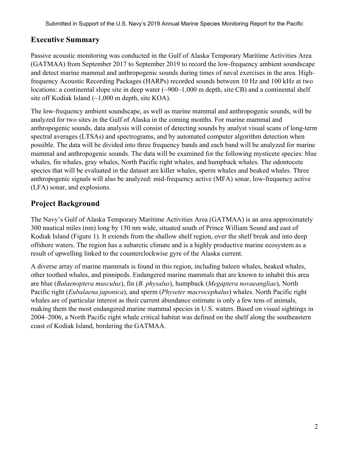# **Executive Summary**

Passive acoustic monitoring was conducted in the Gulf of Alaska Temporary Maritime Activities Area (GATMAA) from September 2017 to September 2019 to record the low-frequency ambient soundscape and detect marine mammal and anthropogenic sounds during times of naval exercises in the area. Highfrequency Acoustic Recording Packages (HARPs) recorded sounds between 10 Hz and 100 kHz at two locations: a continental slope site in deep water (~900–1,000 m depth, site CB) and a continental shelf site off Kodiak Island  $(\sim 1,000 \text{ m}$  depth, site KOA).

The low-frequency ambient soundscape, as well as marine mammal and anthropogenic sounds, will be analyzed for two sites in the Gulf of Alaska in the coming months. For marine mammal and anthropogenic sounds, data analysis will consist of detecting sounds by analyst visual scans of long-term spectral averages (LTSAs) and spectrograms, and by automated computer algorithm detection when possible. The data will be divided into three frequency bands and each band will be analyzed for marine mammal and anthropogenic sounds. The data will be examined for the following mysticete species: blue whales, fin whales, gray whales, North Pacific right whales, and humpback whales. The odontocete species that will be evaluated in the dataset are killer whales, sperm whales and beaked whales. Three anthropogenic signals will also be analyzed: mid-frequency active (MFA) sonar, low-frequency active (LFA) sonar, and explosions.

# **Project Background**

The Navy's Gulf of Alaska Temporary Maritime Activities Area (GATMAA) is an area approximately 300 nautical miles (nm) long by 150 nm wide, situated south of Prince William Sound and east of Kodiak Island (Figure 1). It extends from the shallow shelf region, over the shelf break and into deep offshore waters. The region has a subarctic climate and is a highly productive marine ecosystem as a result of upwelling linked to the counterclockwise gyre of the Alaska current.

A diverse array of marine mammals is found in this region, including baleen whales, beaked whales, other toothed whales, and pinnipeds. Endangered marine mammals that are known to inhabit this area are blue (*Balaenoptera musculus*), fin (*B. physalus*), humpback (*Megaptera novaeangliae*), North Pacific right (*Eubalaena japonica*), and sperm (*Physeter macrocephalus*) whales. North Pacific right whales are of particular interest as their current abundance estimate is only a few tens of animals, making them the most endangered marine mammal species in U.S. waters. Based on visual sightings in 2004–2006, a North Pacific right whale critical habitat was defined on the shelf along the southeastern coast of Kodiak Island, bordering the GATMAA.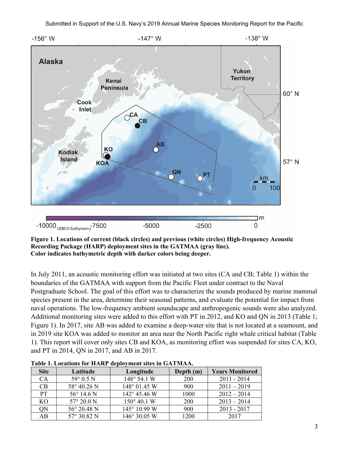

**Figure 1. Locations of current (black circles) and previous (white circles) High-frequency Acoustic Recording Package (HARP) deployment sites in the GATMAA (gray line). Color indicates bathymetric depth with darker colors being deeper.** 

In July 2011, an acoustic monitoring effort was initiated at two sites (CA and CB; Table 1) within the boundaries of the GATMAA with support from the Pacific Fleet under contract to the Naval Postgraduate School. The goal of this effort was to characterize the sounds produced by marine mammal species present in the area, determine their seasonal patterns, and evaluate the potential for impact from naval operations. The low-frequency ambient soundscape and anthropogenic sounds were also analyzed. Additional monitoring sites were added to this effort with PT in 2012, and KO and QN in 2013 (Table 1; Figure 1). In 2017, site AB was added to examine a deep-water site that is not located at a seamount, and in 2019 site KOA was added to monitor an area near the North Pacific right whale critical habitat (Table 1). This report will cover only sites CB and KOA, as monitoring effort was suspended for sites CA, KO, and PT in 2014, QN in 2017, and AB in 2017.

| <b>Site</b> | Latitude             | Longitude             | Depth (m)  | <b>Years Monitored</b> |
|-------------|----------------------|-----------------------|------------|------------------------|
| <b>CA</b>   | $59^{\circ}$ 0.5 N   | 148° 54.1 W           | <b>200</b> | $2011 - 2014$          |
| CB          | 58° 40.26 N          | $148^{\circ}$ 01.45 W | 900        | $2011 - 2019$          |
| <b>PT</b>   | $56^{\circ}$ 14.6 N  | $142^{\circ}$ 45.46 W | 1000       | $2012 - 2014$          |
| KO          | $57^{\circ} 20.0 N$  | $150^{\circ}$ 40.1 W  | <b>200</b> | $2013 - 2014$          |
| ON          | $56^{\circ}$ 20.48 N | 145° 10.99 W          | 900        | $2013 - 2017$          |
| AB          | $57^{\circ}$ 30.82 N | $146^{\circ}$ 30.05 W | 1200       | 2017                   |

**Table 1. Locations for HARP deployment sites in GATMAA.**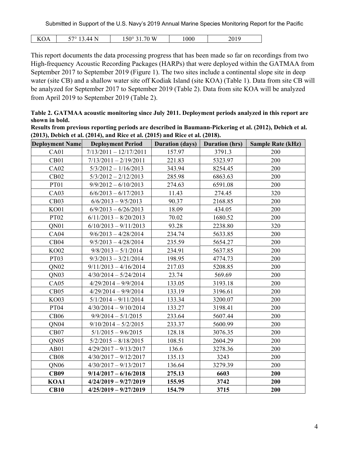| -- -<br>י ⊂<br>v<br>/I /I<br>$\sqrt{ }$<br>n<br>◡▴<br><b>.</b> | $- - -$<br>$10^{-1}$<br>na<br>W<br>1 J V | 000 | .<br>. .<br>$\sim$ 0 1 $\sim$<br>____ |
|----------------------------------------------------------------|------------------------------------------|-----|---------------------------------------|
|----------------------------------------------------------------|------------------------------------------|-----|---------------------------------------|

This report documents the data processing progress that has been made so far on recordings from two High-frequency Acoustic Recording Packages (HARPs) that were deployed within the GATMAA from September 2017 to September 2019 (Figure 1). The two sites include a continental slope site in deep water (site CB) and a shallow water site off Kodiak Island (site KOA) (Table 1). Data from site CB will be analyzed for September 2017 to September 2019 (Table 2). Data from site KOA will be analyzed from April 2019 to September 2019 (Table 2).

**Table 2. GATMAA acoustic monitoring since July 2011. Deployment periods analyzed in this report are shown in bold.** 

| Results from previous reporting periods are described in Baumann-Pickering et al. (2012), Debich et al. |  |
|---------------------------------------------------------------------------------------------------------|--|
| $(2013)$ , Debich et al. $(2014)$ , and Rice et al. $(2015)$ and Rice et al. $(2018)$ .                 |  |

| <b>Deployment Name</b> | <b>Deployment Period</b> | <b>Duration (days)</b> | <b>Duration</b> (hrs) | <b>Sample Rate (kHz)</b> |
|------------------------|--------------------------|------------------------|-----------------------|--------------------------|
| CA01                   | $7/13/2011 - 12/17/2011$ | 157.97                 | 3791.3                | 200                      |
| CB01                   | $7/13/2011 - 2/19/2011$  | 221.83                 | 5323.97               | 200                      |
| <b>CA02</b>            | $5/3/2012 - 1/16/2013$   | 343.94                 | 8254.45               | 200                      |
| CB02                   | $5/3/2012 - 2/12/2013$   | 285.98                 | 6863.63               | 200                      |
| <b>PT01</b>            | $9/9/2012 - 6/10/2013$   | 274.63                 | 6591.08               | 200                      |
| CA03                   | $6/6/2013 - 6/17/2013$   | 11.43                  | 274.45                | 320                      |
| CB03                   | $6/6/2013 - 9/5/2013$    | 90.37                  | 2168.85               | 200                      |
| <b>KO01</b>            | $6/9/2013 - 6/26/2013$   | 18.09                  | 434.05                | 200                      |
| PT02                   | $6/11/2013 - 8/20/2013$  | 70.02                  | 1680.52               | 200                      |
| QN01                   | $6/10/2013 - 9/11/2013$  | 93.28                  | 2238.80               | 320                      |
| CA04                   | $9/6/2013 - 4/28/2014$   | 234.74                 | 5633.85               | 200                      |
| CB04                   | $9/5/2013 - 4/28/2014$   | 235.59                 | 5654.27               | 200                      |
| <b>KO02</b>            | $9/8/2013 - 5/1/2014$    | 234.91                 | 5637.85               | 200                      |
| PT03                   | $9/3/2013 - 3/21/2014$   | 198.95                 | 4774.73               | 200                      |
| QN <sub>02</sub>       | $9/11/2013 - 4/16/2014$  | 217.03                 | 5208.85               | 200                      |
| QN <sub>03</sub>       | $4/30/2014 - 5/24/2014$  | 23.74                  | 569.69                | 200                      |
| CA05                   | $4/29/2014 - 9/9/2014$   | 133.05                 | 3193.18               | 200                      |
| CB05                   | $4/29/2014 - 9/9/2014$   | 133.19                 | 3196.61               | 200                      |
| <b>KO03</b>            | $5/1/2014 - 9/11/2014$   | 133.34                 | 3200.07               | 200                      |
| <b>PT04</b>            | $4/30/2014 - 9/10/2014$  | 133.27                 | 3198.41               | 200                      |
| CB06                   | $9/9/2014 - 5/1/2015$    | 233.64                 | 5607.44               | 200                      |
| QN <sub>04</sub>       | $9/10/2014 - 5/2/2015$   | 233.37                 | 5600.99               | 200                      |
| CB07                   | $5/1/2015 - 9/6/2015$    | 128.18                 | 3076.35               | 200                      |
| QN <sub>05</sub>       | $5/2/2015 - 8/18/2015$   | 108.51                 | 2604.29               | 200                      |
| AB01                   | $4/29/2017 - 9/13/2017$  | 136.6                  | 3278.36               | 200                      |
| CB08                   | $4/30/2017 - 9/12/2017$  | 135.13                 | 3243                  | 200                      |
| QN <sub>06</sub>       | $4/30/2017 - 9/13/2017$  | 136.64                 | 3279.39               | 200                      |
| <b>CB09</b>            | $9/14/2017 - 6/16/2018$  | 275.13                 | 6603                  | 200                      |
| KOA1                   | $4/24/2019 - 9/27/2019$  | 155.95                 | 3742                  | 200                      |
| <b>CB10</b>            | $4/25/2019 - 9/27/2019$  | 154.79                 | 3715                  | 200                      |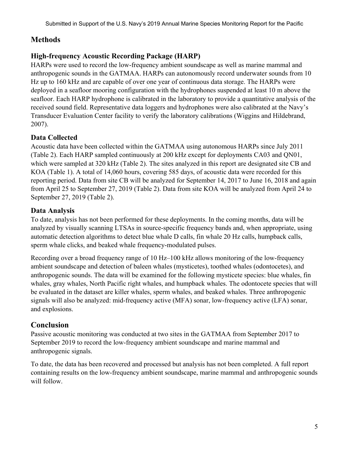### **Methods**

#### **High-frequency Acoustic Recording Package (HARP)**

HARPs were used to record the low-frequency ambient soundscape as well as marine mammal and anthropogenic sounds in the GATMAA. HARPs can autonomously record underwater sounds from 10 Hz up to 160 kHz and are capable of over one year of continuous data storage. The HARPs were deployed in a seafloor mooring configuration with the hydrophones suspended at least 10 m above the seafloor. Each HARP hydrophone is calibrated in the laboratory to provide a quantitative analysis of the received sound field. Representative data loggers and hydrophones were also calibrated at the Navy's Transducer Evaluation Center facility to verify the laboratory calibrations (Wiggins and Hildebrand, 2007).

#### **Data Collected**

Acoustic data have been collected within the GATMAA using autonomous HARPs since July 2011 (Table 2). Each HARP sampled continuously at 200 kHz except for deployments CA03 and QN01, which were sampled at 320 kHz (Table 2). The sites analyzed in this report are designated site CB and KOA (Table 1). A total of 14,060 hours, covering 585 days, of acoustic data were recorded for this reporting period. Data from site CB will be analyzed for September 14, 2017 to June 16, 2018 and again from April 25 to September 27, 2019 (Table 2). Data from site KOA will be analyzed from April 24 to September 27, 2019 (Table 2).

#### **Data Analysis**

To date, analysis has not been performed for these deployments. In the coming months, data will be analyzed by visually scanning LTSAs in source-specific frequency bands and, when appropriate, using automatic detection algorithms to detect blue whale D calls, fin whale 20 Hz calls, humpback calls, sperm whale clicks, and beaked whale frequency-modulated pulses.

Recording over a broad frequency range of 10 Hz–100 kHz allows monitoring of the low-frequency ambient soundscape and detection of baleen whales (mysticetes), toothed whales (odontocetes), and anthropogenic sounds. The data will be examined for the following mysticete species: blue whales, fin whales, gray whales, North Pacific right whales, and humpback whales. The odontocete species that will be evaluated in the dataset are killer whales, sperm whales, and beaked whales. Three anthropogenic signals will also be analyzed: mid-frequency active (MFA) sonar, low-frequency active (LFA) sonar, and explosions.

#### **Conclusion**

Passive acoustic monitoring was conducted at two sites in the GATMAA from September 2017 to September 2019 to record the low-frequency ambient soundscape and marine mammal and anthropogenic signals.

To date, the data has been recovered and processed but analysis has not been completed. A full report containing results on the low-frequency ambient soundscape, marine mammal and anthropogenic sounds will follow.